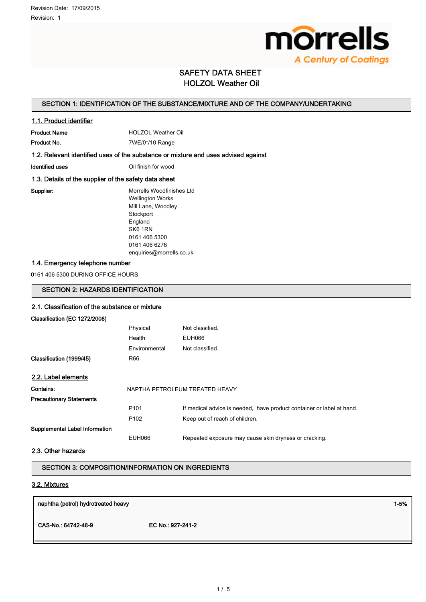

# SAFETY DATA SHEET HOLZOL Weather Oil

# SECTION 1: IDENTIFICATION OF THE SUBSTANCE/MIXTURE AND OF THE COMPANY/UNDERTAKING

# 1.1. Product identifier

Product Name **HOLZOL Weather Oil** Product No. 2008 7WE/0\*/10 Range

# 1.2. Relevant identified uses of the substance or mixture and uses advised against

**Identified uses IDENTIFY CONSERVING MANUSCRYPT ON A LOCAL MANUSCRYPT ON MANUSCRYPT ON MANUSCRYPT ON MANUSCRYPT** 

### 1.3. Details of the supplier of the safety data sheet

Supplier: Morrells Woodfinishes Ltd Wellington Works Mill Lane, Woodley **Stockport** England SK6 1RN 0161 406 5300 0161 406 6276 enquiries@morrells.co.uk

# 1.4. Emergency telephone number

0161 406 5300 DURING OFFICE HOURS

# SECTION 2: HAZARDS IDENTIFICATION

# 2.1. Classification of the substance or mixture Classification (EC 1272/2008) Physical Not classified. Health EUH066 Environmental Not classified. Classification (1999/45) R66. 2.2. Label elements Contains: NAPTHA PETROLEUM TREATED HEAVY Precautionary Statements P101 If medical advice is needed, have product container or label at hand. P102 Keep out of reach of children. Supplemental Label Information EUH066 Repeated exposure may cause skin dryness or cracking.

### 2.3. Other hazards

# SECTION 3: COMPOSITION/INFORMATION ON INGREDIENTS

# 3.2. Mixtures

| naphtha (petrol) hydrotreated heavy |                   | $1 - 5%$ |
|-------------------------------------|-------------------|----------|
| CAS-No.: 64742-48-9                 | EC No.: 927-241-2 |          |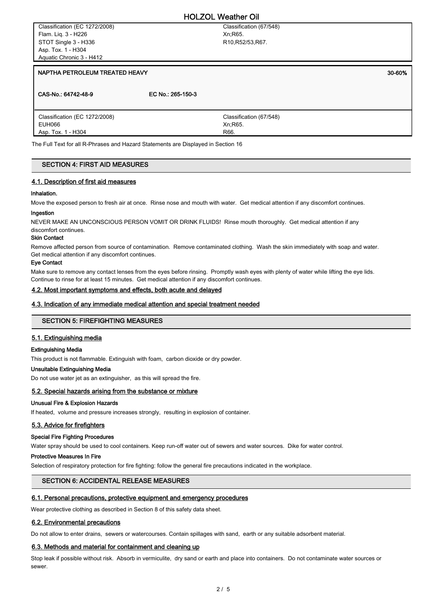Classification (67/548) Xn;R65. R10,R52/53,R67.

#### NAPTHA PETROLEUM TREATED HEAVY **A straighter that the contract of the contract of the contract of the contract of the contract of the contract of the contract of the contract of the contract of the contract of the contract**

| CAS-No.: 64742-48-9           | EC No.: 265-150-3       |
|-------------------------------|-------------------------|
| Classification (EC 1272/2008) | Classification (67/548) |
| EUH066                        | Xn:R65.                 |
| Asp. Tox. 1 - H304            | R66.                    |

The Full Text for all R-Phrases and Hazard Statements are Displayed in Section 16

#### SECTION 4: FIRST AID MEASURES

#### 4.1. Description of first aid measures

#### Inhalation.

Move the exposed person to fresh air at once. Rinse nose and mouth with water. Get medical attention if any discomfort continues.

#### Ingestion

NEVER MAKE AN UNCONSCIOUS PERSON VOMIT OR DRINK FLUIDS! Rinse mouth thoroughly. Get medical attention if any discomfort continues.

#### Skin Contact

Remove affected person from source of contamination. Remove contaminated clothing. Wash the skin immediately with soap and water. Get medical attention if any discomfort continues.

#### Eye Contact

Make sure to remove any contact lenses from the eyes before rinsing. Promptly wash eyes with plenty of water while lifting the eye lids. Continue to rinse for at least 15 minutes. Get medical attention if any discomfort continues.

#### 4.2. Most important symptoms and effects, both acute and delayed

### 4.3. Indication of any immediate medical attention and special treatment needed

### SECTION 5: FIREFIGHTING MEASURES

#### 5.1. Extinguishing media

#### Extinguishing Media

This product is not flammable. Extinguish with foam, carbon dioxide or dry powder.

# Unsuitable Extinguishing Media

Do not use water jet as an extinguisher, as this will spread the fire.

### 5.2. Special hazards arising from the substance or mixture

#### Unusual Fire & Explosion Hazards

If heated, volume and pressure increases strongly, resulting in explosion of container.

### 5.3. Advice for firefighters

#### Special Fire Fighting Procedures

Water spray should be used to cool containers. Keep run-off water out of sewers and water sources. Dike for water control.

#### Protective Measures In Fire

Selection of respiratory protection for fire fighting: follow the general fire precautions indicated in the workplace.

### SECTION 6: ACCIDENTAL RELEASE MEASURES

### 6.1. Personal precautions, protective equipment and emergency procedures

Wear protective clothing as described in Section 8 of this safety data sheet.

#### 6.2. Environmental precautions

Do not allow to enter drains, sewers or watercourses. Contain spillages with sand, earth or any suitable adsorbent material.

#### 6.3. Methods and material for containment and cleaning up

Stop leak if possible without risk. Absorb in vermiculite, dry sand or earth and place into containers. Do not contaminate water sources or sewer.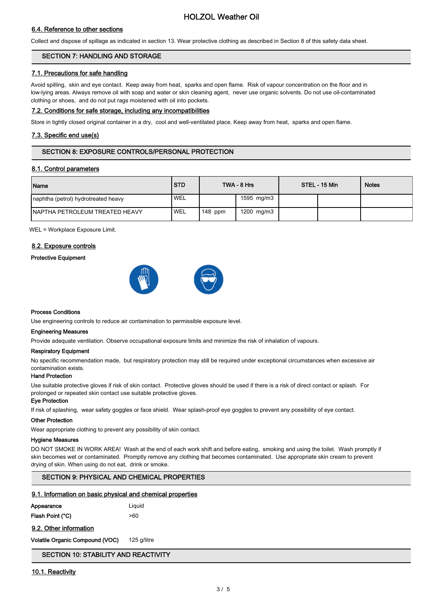# HOLZOL Weather Oil

# 6.4. Reference to other sections

Collect and dispose of spillage as indicated in section 13. Wear protective clothing as described in Section 8 of this safety data sheet.

# SECTION 7: HANDLING AND STORAGE

# 7.1. Precautions for safe handling

Avoid spilling, skin and eye contact. Keep away from heat, sparks and open flame. Risk of vapour concentration on the floor and in low-lying areas. Always remove oil with soap and water or skin cleaning agent, never use organic solvents. Do not use oil-contaminated clothing or shoes, and do not put rags moistened with oil into pockets.

### 7.2. Conditions for safe storage, including any incompatibilities

Store in tightly closed original container in a dry, cool and well-ventilated place. Keep away from heat, sparks and open flame.

# 7.3. Specific end use(s)

# SECTION 8: EXPOSURE CONTROLS/PERSONAL PROTECTION

### 8.1. Control parameters

| Name                                   | <b>STD</b> |           | TWA - 8 Hrs | STEL - 15 Min | <b>Notes</b> |
|----------------------------------------|------------|-----------|-------------|---------------|--------------|
| Inaphtha (petrol) hydrotreated heavy   | 'WEL       |           | 1595 mg/m3  |               |              |
| <b>INAPTHA PETROLEUM TREATED HEAVY</b> | 'WEL       | $148$ ppm | 1200 mg/m3  |               |              |

WEL = Workplace Exposure Limit.

#### 8.2. Exposure controls

#### Protective Equipment



#### Process Conditions

Use engineering controls to reduce air contamination to permissible exposure level.

#### Engineering Measures

Provide adequate ventilation. Observe occupational exposure limits and minimize the risk of inhalation of vapours.

#### Respiratory Equipment

No specific recommendation made, but respiratory protection may still be required under exceptional circumstances when excessive air contamination exists.

## Hand Protection

Use suitable protective gloves if risk of skin contact. Protective gloves should be used if there is a risk of direct contact or splash. For prolonged or repeated skin contact use suitable protective gloves.

# Eye Protection If risk of splashing, wear safety goggles or face shield. Wear splash-proof eye goggles to prevent any possibility of eye contact.

# Other Protection

Wear appropriate clothing to prevent any possibility of skin contact.

### Hygiene Measures

DO NOT SMOKE IN WORK AREA! Wash at the end of each work shift and before eating, smoking and using the toilet. Wash promptly if skin becomes wet or contaminated. Promptly remove any clothing that becomes contaminated. Use appropriate skin cream to prevent drying of skin. When using do not eat, drink or smoke.

# SECTION 9: PHYSICAL AND CHEMICAL PROPERTIES

#### 9.1. Information on basic physical and chemical properties

| Appearance       | Liquid |
|------------------|--------|
| Flash Point (°C) | >60    |

9.2. Other information

Volatile Organic Compound (VOC) 125 g/litre

# SECTION 10: STABILITY AND REACTIVITY

#### 10.1. Reactivity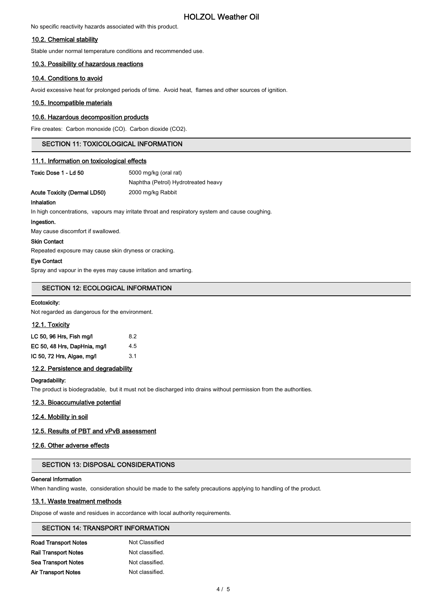# HOLZOL Weather Oil

No specific reactivity hazards associated with this product.

### 10.2. Chemical stability

Stable under normal temperature conditions and recommended use.

## 10.3. Possibility of hazardous reactions

# 10.4. Conditions to avoid

Avoid excessive heat for prolonged periods of time. Avoid heat, flames and other sources of ignition.

### 10.5. Incompatible materials

### 10.6. Hazardous decomposition products

Fire creates: Carbon monoxide (CO). Carbon dioxide (CO2).

# SECTION 11: TOXICOLOGICAL INFORMATION

### 11.1. Information on toxicological effects

Toxic Dose 1 - Ld 50 5000 mg/kg (oral rat)

Naphtha (Petrol) Hydrotreated heavy

# Acute Toxicity (Dermal LD50) 2000 mg/kg Rabbit

Inhalation

In high concentrations, vapours may irritate throat and respiratory system and cause coughing.

# Ingestion.

May cause discomfort if swallowed.

#### Skin Contact

Repeated exposure may cause skin dryness or cracking.

#### Eye Contact

Spray and vapour in the eyes may cause irritation and smarting.

# SECTION 12: ECOLOGICAL INFORMATION

### Ecotoxicity:

Not regarded as dangerous for the environment.

### 12.1. Toxicity

| LC 50, 96 Hrs, Fish mg/l     | 8.2 |
|------------------------------|-----|
| EC 50, 48 Hrs, DapHnia, mg/l | 45  |
| IC 50, 72 Hrs, Algae, mg/l   | 31  |

### 12.2. Persistence and degradability

### Degradability:

The product is biodegradable, but it must not be discharged into drains without permission from the authorities.

### 12.3. Bioaccumulative potential

### 12.4. Mobility in soil

### 12.5. Results of PBT and vPvB assessment

## 12.6. Other adverse effects

# SECTION 13: DISPOSAL CONSIDERATIONS

#### General Information

When handling waste, consideration should be made to the safety precautions applying to handling of the product.

### 13.1. Waste treatment methods

Dispose of waste and residues in accordance with local authority requirements.

# SECTION 14: TRANSPORT INFORMATION

| <b>Road Transport Notes</b> | Not Classified  |
|-----------------------------|-----------------|
| <b>Rail Transport Notes</b> | Not classified. |
| <b>Sea Transport Notes</b>  | Not classified. |
| Air Transport Notes         | Not classified. |
|                             |                 |